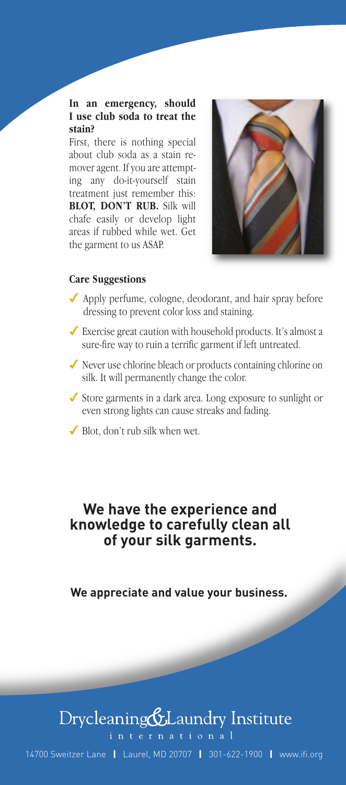#### **In an emergency, should I use club soda to treat the stain?**

First, there is nothing special about club soda as a stain remover agent. If you are attempting any do-it-yourself stain treatment just remember this: **BLOT, DON'T RUB.** Silk will chafe easily or develop light areas if rubbed while wet. Get the garment to us ASAP.



#### **Care Suggestions**

- ◆ Apply perfume, cologne, deodorant, and hair spray before dressing to prevent color loss and staining.
- 4 Exercise great caution with household products. It's almost a sure-fire way to ruin a terrific garment if left untreated.
- 4 Never use chlorine bleach or products containing chlorine on silk. It will permanently change the color.
- 4 Store garments in a dark area. Long exposure to sunlight or even strong lights can cause streaks and fading.
- $\blacktriangleright$  Blot, don't rub silk when wet.

#### **We have the experience and knowledge to carefully clean all of your silk garments.**

**We appreciate and value your business.**

### Drycleaning&Laundry Institute

international

14700 Sweitzer Lane **|** Laurel, MD 20707 **|** 301-622-1900 **|** www.ifi.org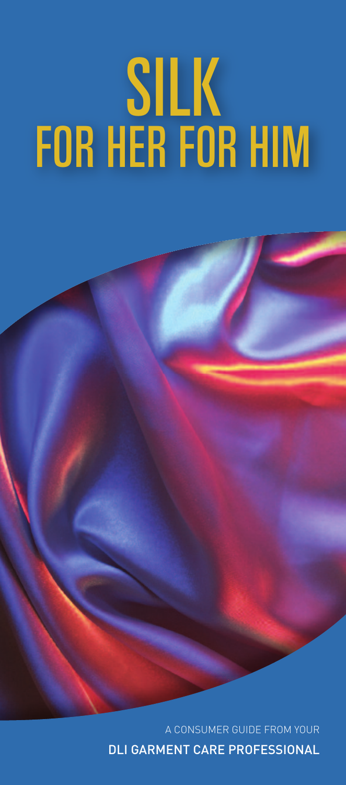# *SILK* **FOR HER FOR HIM**

A CONSUMER GUIDE FROM YOUR DLI GARMENT CARE PROFESSIONAL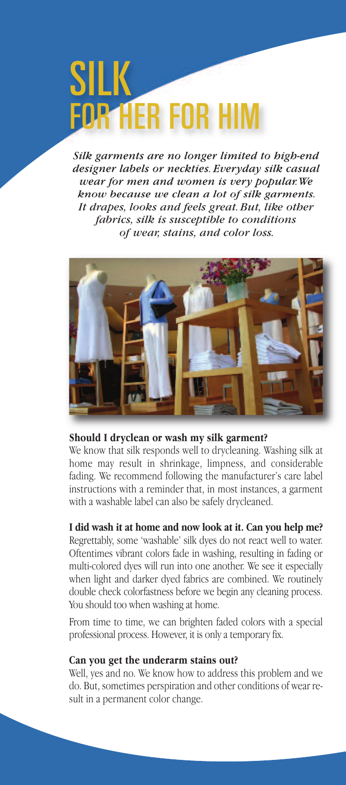## *SILK* **FOR HER FOR HIM**

*Silk garments are no longer limited to high-end designer labels or neckties. Everyday silk casual wear for men and women is very popular.We know because we clean a lot of silk garments. It drapes, looks and feels great. But, like other fabrics, silk is susceptible to conditions of wear, stains, and color loss.*



#### **Should I dryclean or wash my silk garment?**

We know that silk responds well to drycleaning. Washing silk at home may result in shrinkage, limpness, and considerable fading. We recommend following the manufacturer's care label instructions with a reminder that, in most instances, a garment with a washable label can also be safely drycleaned.

#### **I did wash it at home and now look at it. Can you help me?**

Regrettably, some 'washable' silk dyes do not react well to water. Oftentimes vibrant colors fade in washing, resulting in fading or multi-colored dyes will run into one another. We see it especially when light and darker dyed fabrics are combined. We routinely double check colorfastness before we begin any cleaning process. You should too when washing at home.

From time to time, we can brighten faded colors with a special professional process. However, it is only a temporary fix.

#### **Can you get the underarm stains out?**

Well, yes and no. We know how to address this problem and we do. But, sometimes perspiration and other conditions of wear result in a permanent color change.